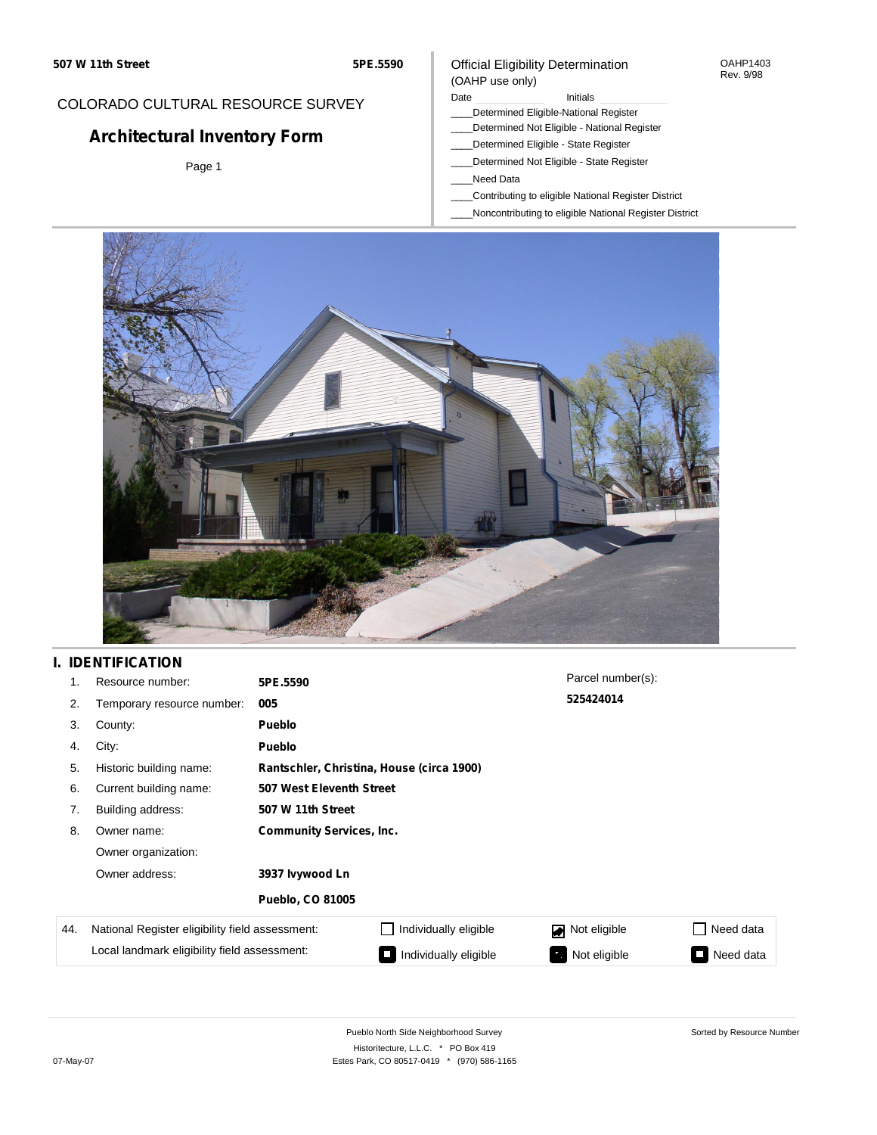## COLORADO CULTURAL RESOURCE SURVEY

# **Architectural Inventory Form**

Page 1

### Official Eligibility Determination (OAHP use only)

#### Date **Initials** Initials

- \_\_\_\_Determined Eligible-National Register
- \_\_\_\_Determined Not Eligible National Register
- \_\_\_\_Determined Eligible State Register
- \_\_\_\_Determined Not Eligible State Register
- \_\_\_\_Need Data
- \_\_\_\_Contributing to eligible National Register District
- \_\_\_\_Noncontributing to eligible National Register District



## **I. IDENTIFICATION**

| 1.  | Resource number:                                                                                | 5PE.5590                                  |                       | Parcel number(s): |           |
|-----|-------------------------------------------------------------------------------------------------|-------------------------------------------|-----------------------|-------------------|-----------|
| 2.  | Temporary resource number:                                                                      | 005                                       |                       | 525424014         |           |
| 3.  | County:                                                                                         | <b>Pueblo</b>                             |                       |                   |           |
| 4.  | City:                                                                                           | <b>Pueblo</b>                             |                       |                   |           |
| 5.  | Historic building name:                                                                         | Rantschler, Christina, House (circa 1900) |                       |                   |           |
| 6.  | Current building name:                                                                          | 507 West Eleventh Street                  |                       |                   |           |
| 7.  | Building address:                                                                               | 507 W 11th Street                         |                       |                   |           |
| 8.  | Owner name:                                                                                     | <b>Community Services, Inc.</b>           |                       |                   |           |
|     | Owner organization:<br>Owner address:<br>3937 Ivywood Ln<br><b>Pueblo, CO 81005</b>             |                                           |                       |                   |           |
|     |                                                                                                 |                                           |                       |                   |           |
|     |                                                                                                 |                                           |                       |                   |           |
| 44. | National Register eligibility field assessment:<br>Local landmark eligibility field assessment: |                                           | Individually eligible | Not eligible      | Need data |
|     |                                                                                                 |                                           | Individually eligible | Not eligible      | Need data |

OAHP1403 Rev. 9/98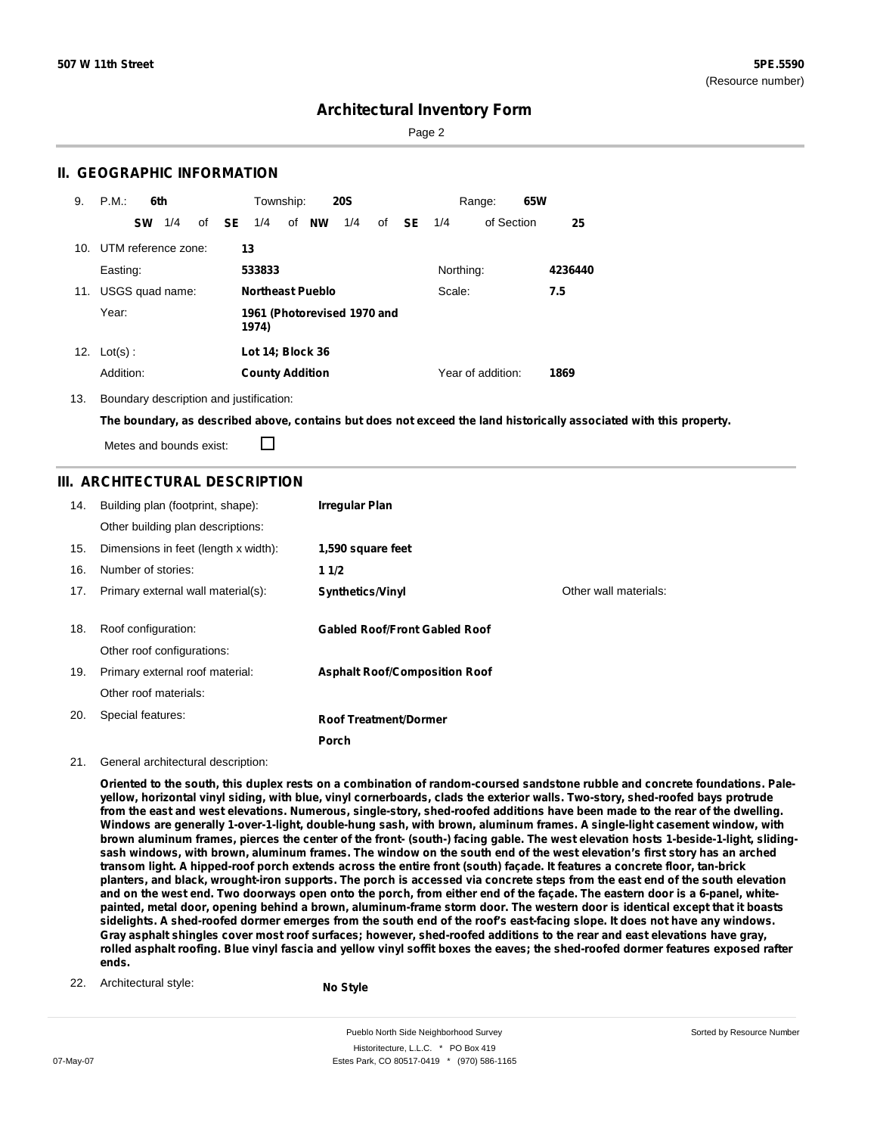Sorted by Resource Number

## **Architectural Inventory Form**

Page 2

### **II. GEOGRAPHIC INFORMATION**

| 9.  | P.M.<br>6th         | Township:<br><b>20S</b>                                    | 65W<br>Range:             |
|-----|---------------------|------------------------------------------------------------|---------------------------|
|     | 1/4<br><b>SW</b>    | of NW<br>of <b>SE</b><br>1/4<br>1/4<br>of<br><b>SE</b> 1/4 | of Section<br>25          |
| 10. | UTM reference zone: | 13                                                         |                           |
|     | Easting:            | 533833<br>Northing:                                        | 4236440                   |
| 11. | USGS quad name:     | <b>Northeast Pueblo</b><br>Scale:                          | 7.5                       |
|     | Year:               | 1961 (Photorevised 1970 and<br>1974)                       |                           |
| 12. | $Lot(s)$ :          | Lot 14; Block 36                                           |                           |
|     | Addition:           | <b>County Addition</b>                                     | Year of addition:<br>1869 |

13. Boundary description and justification:

The boundary, as described above, contains but does not exceed the land historically associated with this property.

П Metes and bounds exist:

### **III. ARCHITECTURAL DESCRIPTION**

| 14. | Building plan (footprint, shape):<br>Other building plan descriptions: | <b>Irregular Plan</b>                |                       |
|-----|------------------------------------------------------------------------|--------------------------------------|-----------------------|
| 15. | Dimensions in feet (length x width):                                   | 1,590 square feet                    |                       |
| 16. | Number of stories:                                                     | 11/2                                 |                       |
| 17. | Primary external wall material(s):                                     | <b>Synthetics/Vinyl</b>              | Other wall materials: |
| 18. | Roof configuration:<br>Other roof configurations:                      | <b>Gabled Roof/Front Gabled Roof</b> |                       |
| 19. | Primary external roof material:                                        | <b>Asphalt Roof/Composition Roof</b> |                       |
|     | Other roof materials:                                                  |                                      |                       |
| 20. | Special features:                                                      | <b>Roof Treatment/Dormer</b>         |                       |
|     |                                                                        | Porch                                |                       |

#### 21. General architectural description:

Oriented to the south, this duplex rests on a combination of random-coursed sandstone rubble and concrete foundations, Paleyellow, horizontal vinyl siding, with blue, vinyl cornerboards, clads the exterior walls. Two-story, shed-roofed bays protrude from the east and west elevations. Numerous, single-story, shed-roofed additions have been made to the rear of the dwelling. Windows are generally 1-over-1-light, double-hung sash, with brown, aluminum frames. A single-light casement window, with brown aluminum frames, pierces the center of the front- (south-) facing gable. The west elevation hosts 1-beside-1-light, slidingsash windows, with brown, aluminum frames. The window on the south end of the west elevation's first story has an arched transom light. A hipped-roof porch extends across the entire front (south) façade. It features a concrete floor, tan-brick planters, and black, wrought-iron supports. The porch is accessed via concrete steps from the east end of the south elevation and on the west end. Two doorways open onto the porch, from either end of the facade. The eastern door is a 6-panel, whitepainted, metal door, opening behind a brown, aluminum-frame storm door. The western door is identical except that it boasts sidelights. A shed-roofed dormer emerges from the south end of the roof's east-facing slope. It does not have any windows. Gray asphalt shingles cover most roof surfaces; however, shed-roofed additions to the rear and east elevations have gray, rolled asphalt roofing. Blue vinyl fascia and yellow vinyl soffit boxes the eaves; the shed-roofed dormer features exposed rafter **ends.**

22. Architectural style:

**No Style**

Pueblo North Side Neighborhood Survey Historitecture, L.L.C. \* PO Box 419 07-May-07 **Estes Park, CO 80517-0419** \* (970) 586-1165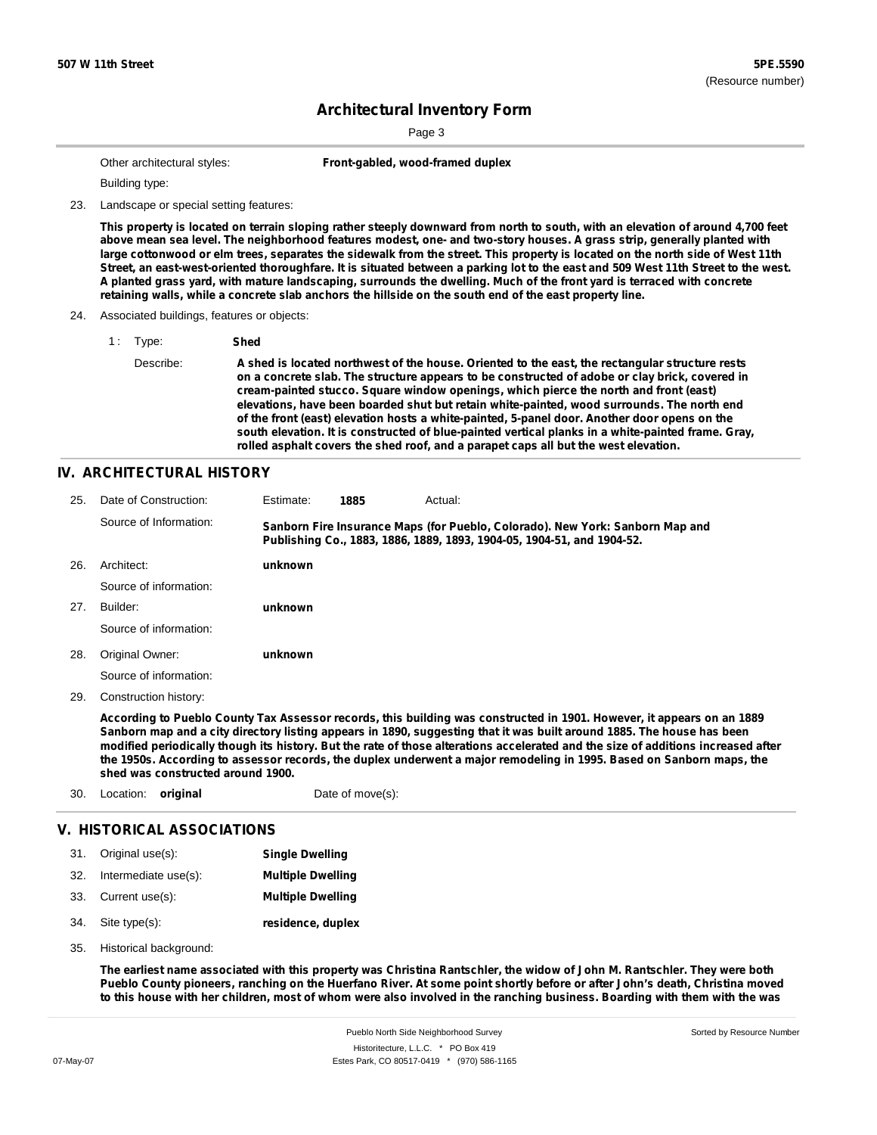Page 3

|  | Other architectural styles: |  |
|--|-----------------------------|--|
|--|-----------------------------|--|

Front-gabled, wood-framed duplex

Building type:

23. Landscape or special setting features:

This property is located on terrain sloping rather steeply downward from north to south, with an elevation of around 4,700 feet above mean sea level. The neighborhood features modest, one- and two-story houses. A grass strip, generally planted with large cottonwood or elm trees, separates the sidewalk from the street. This property is located on the north side of West 11th Street, an east-west-oriented thoroughfare. It is situated between a parking lot to the east and 509 West 11th Street to the west. A planted grass yard, with mature landscaping, surrounds the dwelling. Much of the front yard is terraced with concrete retaining walls, while a concrete slab anchors the hillside on the south end of the east property line.

#### 24. Associated buildings, features or objects:

1 : Type: **Shed** Describe: **A shed is located northwest of the house. Oriented to the east, the rectangular structure rests on a concrete slab. The structure appears to be constructed of adobe or clay brick, covered in cream-painted stucco. Square window openings, which pierce the north and front (east) elevations, have been boarded shut but retain white-painted, wood surrounds. The north end of the front (east) elevation hosts a white-painted, 5-panel door. Another door opens on the south elevation. It is constructed of blue-painted vertical planks in a white-painted frame. Gray, rolled asphalt covers the shed roof, and a parapet caps all but the west elevation.**

### **IV. ARCHITECTURAL HISTORY**

| 25. | Date of Construction:  | Estimate: | 1885 | Actual:                                                                                                                                                 |
|-----|------------------------|-----------|------|---------------------------------------------------------------------------------------------------------------------------------------------------------|
|     | Source of Information: |           |      | Sanborn Fire Insurance Maps (for Pueblo, Colorado). New York: Sanborn Map and<br>Publishing Co., 1883, 1886, 1889, 1893, 1904-05, 1904-51, and 1904-52. |
| 26. | Architect:             | unknown   |      |                                                                                                                                                         |
|     | Source of information: |           |      |                                                                                                                                                         |
| 27. | Builder:               | unknown   |      |                                                                                                                                                         |
|     | Source of information: |           |      |                                                                                                                                                         |
| 28. | Original Owner:        | unknown   |      |                                                                                                                                                         |
|     | Source of information: |           |      |                                                                                                                                                         |

Construction history: 29.

> According to Pueblo County Tax Assessor records, this building was constructed in 1901. However, it appears on an 1889 Sanborn map and a city directory listing appears in 1890, suggesting that it was built around 1885. The house has been modified periodically though its history. But the rate of those alterations accelerated and the size of additions increased after the 1950s. According to assessor records, the duplex underwent a major remodeling in 1995. Based on Sanborn maps, the **shed was constructed around 1900.**

30. Location: **original** Date of move(s):

### **V. HISTORICAL ASSOCIATIONS**

| 31. | Original use(s):     | <b>Single Dwelling</b>   |
|-----|----------------------|--------------------------|
| 32. | Intermediate use(s): | <b>Multiple Dwelling</b> |
|     | 33. Current use(s):  | <b>Multiple Dwelling</b> |
|     | 34. Site type(s):    | residence, duplex        |

35. Historical background:

The earliest name associated with this property was Christina Rantschler, the widow of John M. Rantschler. They were both Pueblo County pioneers, ranching on the Huerfano River. At some point shortly before or after John's death, Christina moved to this house with her children, most of whom were also involved in the ranching business. Boarding with them with the was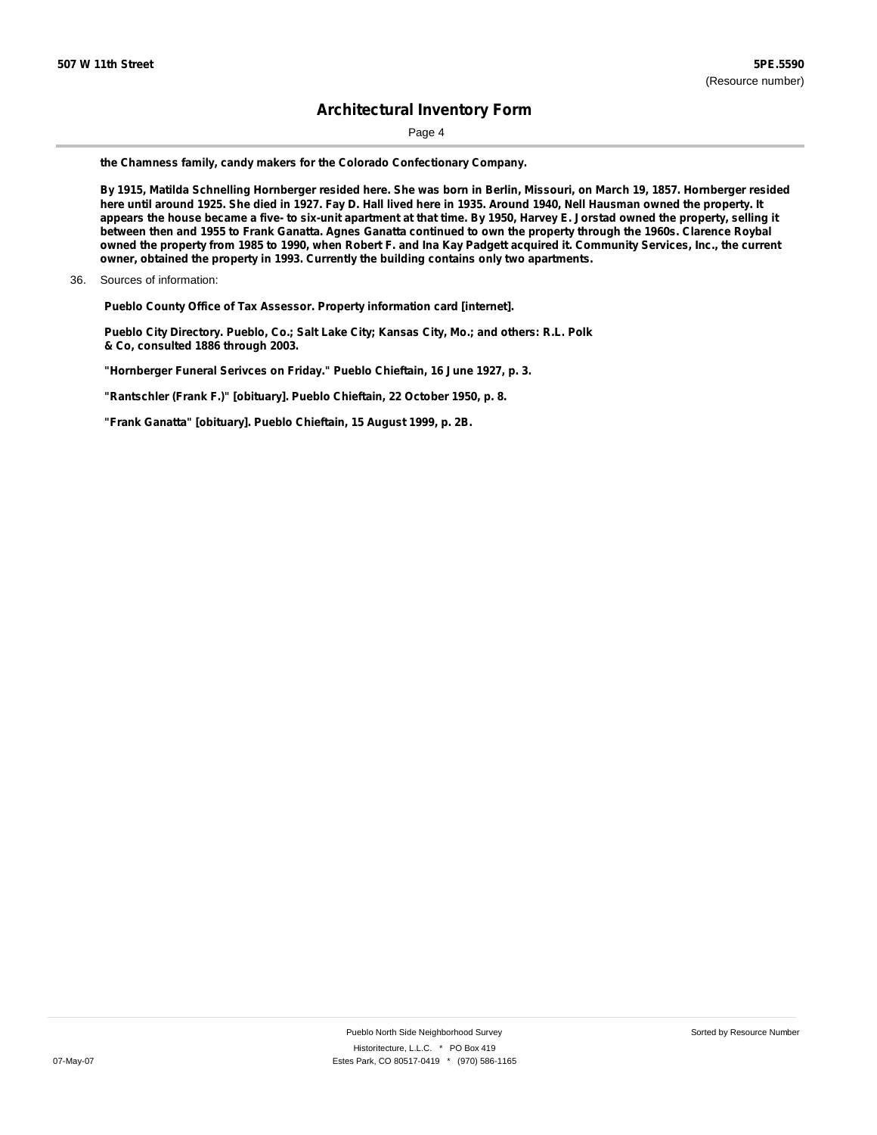Page 4

**the Chamness family, candy makers for the Colorado Confectionary Company.**

By 1915, Matilda Schnelling Hornberger resided here. She was born in Berlin, Missouri, on March 19, 1857. Hornberger resided here until around 1925. She died in 1927. Fay D. Hall lived here in 1935. Around 1940, Nell Hausman owned the property. It appears the house became a five- to six-unit apartment at that time. By 1950, Harvey E. Jorstad owned the property, selling it between then and 1955 to Frank Ganatta. Agnes Ganatta continued to own the property through the 1960s. Clarence Roybal owned the property from 1985 to 1990, when Robert F. and Ina Kay Padgett acquired it. Community Services, Inc., the current **owner, obtained the property in 1993. Currently the building contains only two apartments.**

**Pueblo County Office of Tax Assessor. Property information card [internet].**

**Pueblo City Directory. Pueblo, Co.; Salt Lake City; Kansas City, Mo.; and others: R.L. Polk & Co, consulted 1886 through 2003.**

**"Hornberger Funeral Serivces on Friday." Pueblo Chieftain, 16 June 1927, p. 3.**

**"Rantschler (Frank F.)" [obituary]. Pueblo Chieftain, 22 October 1950, p. 8.**

**"Frank Ganatta" [obituary]. Pueblo Chieftain, 15 August 1999, p. 2B.**

<sup>36.</sup> Sources of information: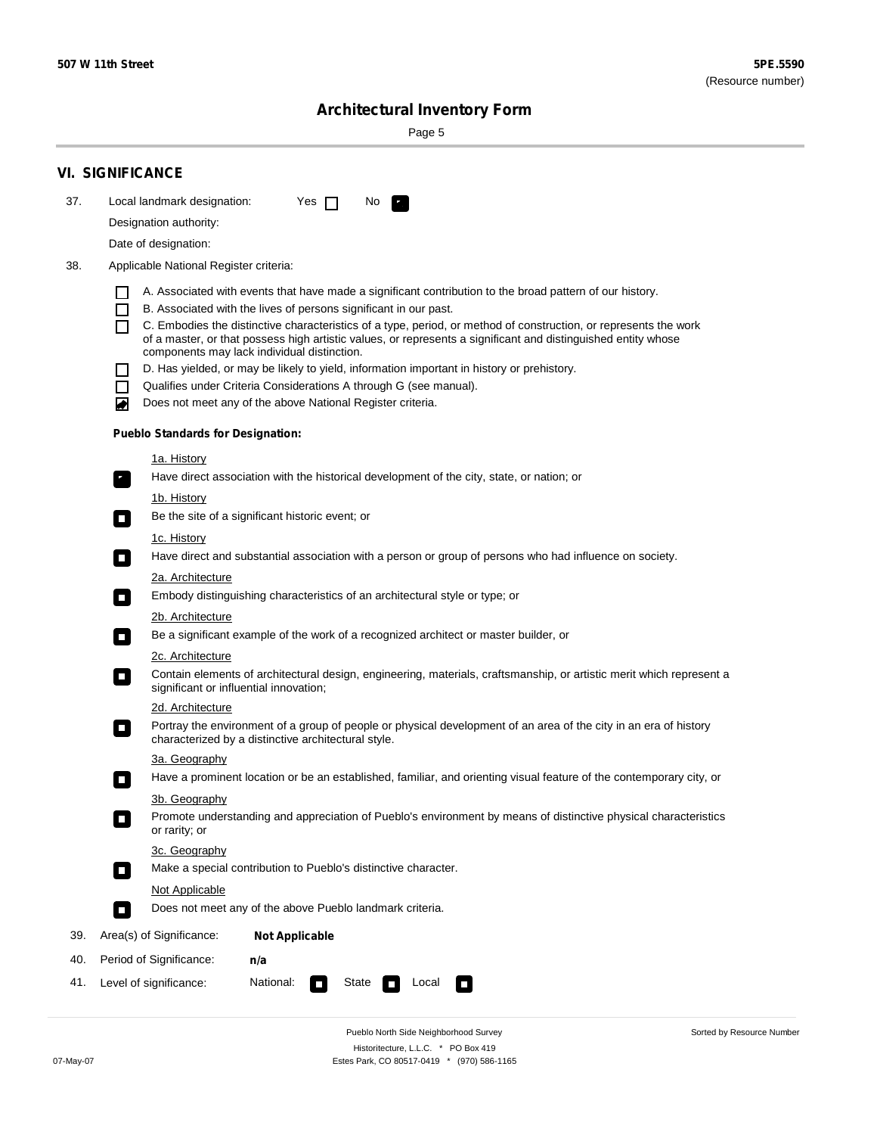Sorted by Resource Number

# **Architectural Inventory Form**

Page 5

|     | <b>VI. SIGNIFICANCE</b>                                                                                                                                                                        |  |  |  |  |
|-----|------------------------------------------------------------------------------------------------------------------------------------------------------------------------------------------------|--|--|--|--|
| 37. | Local landmark designation:<br>Yes $\Box$<br>No.<br>HE 2                                                                                                                                       |  |  |  |  |
|     | Designation authority:                                                                                                                                                                         |  |  |  |  |
|     | Date of designation:                                                                                                                                                                           |  |  |  |  |
| 38. | Applicable National Register criteria:                                                                                                                                                         |  |  |  |  |
|     |                                                                                                                                                                                                |  |  |  |  |
|     | A. Associated with events that have made a significant contribution to the broad pattern of our history.<br>B. Associated with the lives of persons significant in our past.<br>$\blacksquare$ |  |  |  |  |
|     | C. Embodies the distinctive characteristics of a type, period, or method of construction, or represents the work<br>П                                                                          |  |  |  |  |
|     | of a master, or that possess high artistic values, or represents a significant and distinguished entity whose<br>components may lack individual distinction.                                   |  |  |  |  |
|     | D. Has yielded, or may be likely to yield, information important in history or prehistory.                                                                                                     |  |  |  |  |
|     | Qualifies under Criteria Considerations A through G (see manual).<br>$\sim$                                                                                                                    |  |  |  |  |
|     | Does not meet any of the above National Register criteria.<br>₩                                                                                                                                |  |  |  |  |
|     | <b>Pueblo Standards for Designation:</b>                                                                                                                                                       |  |  |  |  |
|     | 1a. History                                                                                                                                                                                    |  |  |  |  |
|     | Have direct association with the historical development of the city, state, or nation; or<br>$\mathbf{r}_\perp$                                                                                |  |  |  |  |
|     | 1b. History                                                                                                                                                                                    |  |  |  |  |
|     | Be the site of a significant historic event; or<br>$\blacksquare$                                                                                                                              |  |  |  |  |
|     | 1c. History                                                                                                                                                                                    |  |  |  |  |
|     | Have direct and substantial association with a person or group of persons who had influence on society.<br>$\overline{\phantom{a}}$                                                            |  |  |  |  |
|     | 2a. Architecture                                                                                                                                                                               |  |  |  |  |
|     | Embody distinguishing characteristics of an architectural style or type; or<br>$\mathcal{L}_{\mathcal{A}}$                                                                                     |  |  |  |  |
|     | <u>2b. Architecture</u>                                                                                                                                                                        |  |  |  |  |
|     | Be a significant example of the work of a recognized architect or master builder, or<br>$\Box$                                                                                                 |  |  |  |  |
|     | 2c. Architecture                                                                                                                                                                               |  |  |  |  |
|     | Contain elements of architectural design, engineering, materials, craftsmanship, or artistic merit which represent a<br>$\Box$<br>significant or influential innovation;                       |  |  |  |  |
|     | 2d. Architecture                                                                                                                                                                               |  |  |  |  |
|     | Portray the environment of a group of people or physical development of an area of the city in an era of history<br>$\Box$<br>characterized by a distinctive architectural style.              |  |  |  |  |
|     | 3a. Geography                                                                                                                                                                                  |  |  |  |  |
|     | Have a prominent location or be an established, familiar, and orienting visual feature of the contemporary city, or                                                                            |  |  |  |  |
|     | 3b. Geography                                                                                                                                                                                  |  |  |  |  |
|     | Promote understanding and appreciation of Pueblo's environment by means of distinctive physical characteristics<br>or rarity; or                                                               |  |  |  |  |
|     | 3c. Geography                                                                                                                                                                                  |  |  |  |  |
|     | Make a special contribution to Pueblo's distinctive character.<br>$\Box$                                                                                                                       |  |  |  |  |
|     | <b>Not Applicable</b>                                                                                                                                                                          |  |  |  |  |
|     | Does not meet any of the above Pueblo landmark criteria.<br>$\overline{\phantom{a}}$                                                                                                           |  |  |  |  |
| 39. | Area(s) of Significance:<br><b>Not Applicable</b>                                                                                                                                              |  |  |  |  |
| 40. | Period of Significance:<br>n/a                                                                                                                                                                 |  |  |  |  |
| 41. | National:<br>Level of significance:<br>State<br>Local<br>$\sim$<br>□                                                                                                                           |  |  |  |  |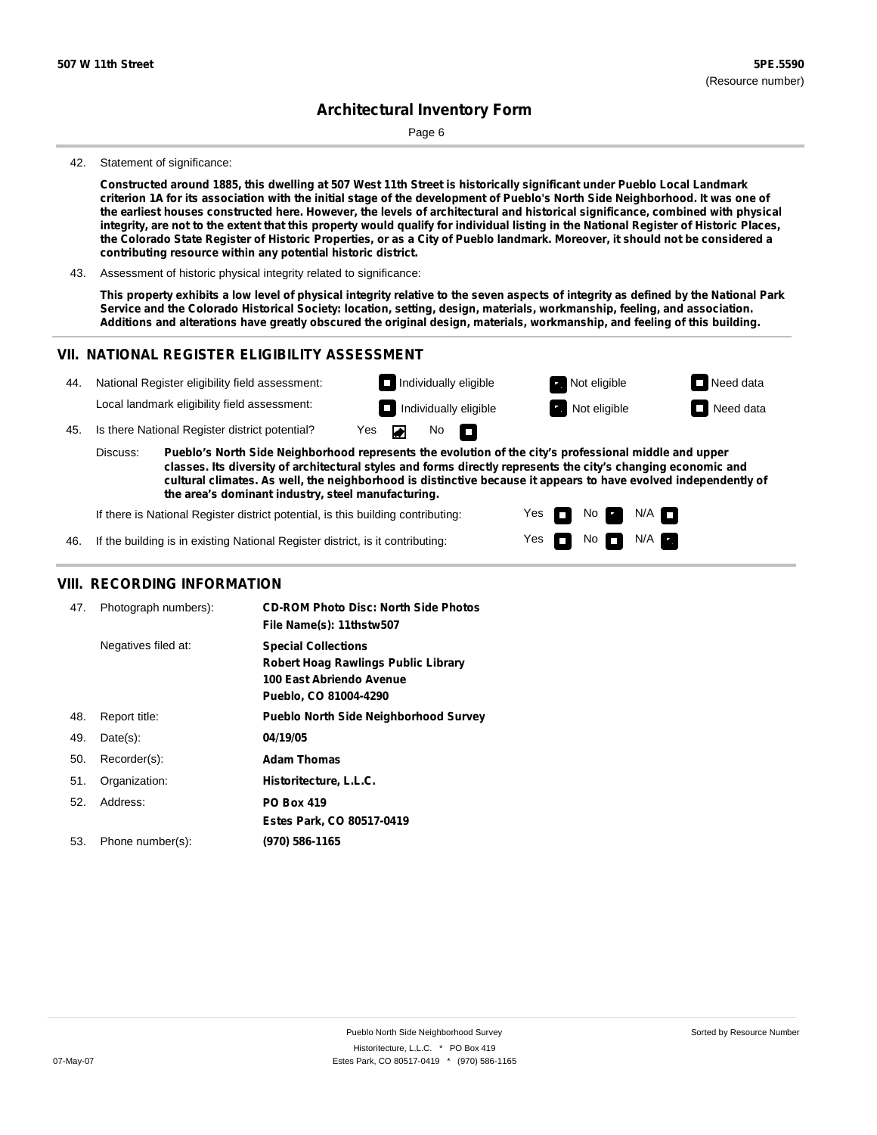Page 6

#### 42. Statement of significance:

Constructed around 1885, this dwelling at 507 West 11th Street is historically significant under Pueblo Local Landmark criterion 1A for its association with the initial stage of the development of Pueblo's North Side Neighborhood. It was one of the earliest houses constructed here. However, the levels of architectural and historical significance, combined with physical integrity, are not to the extent that this property would qualify for individual listing in the National Register of Historic Places, the Colorado State Register of Historic Properties, or as a City of Pueblo landmark. Moreover, it should not be considered a **contributing resource within any potential historic district.**

43. Assessment of historic physical integrity related to significance:

This property exhibits a low level of physical integrity relative to the seven aspects of integrity as defined by the National Park **Service and the Colorado Historical Society: location, setting, design, materials, workmanship, feeling, and association.** Additions and alterations have greatly obscured the original design, materials, workmanship, and feeling of this building.

### **VII. NATIONAL REGISTER ELIGIBILITY ASSESSMENT**



Yes Yes

П

No

No  $\blacksquare$  N/A

 $N/A$ 

If there is National Register district potential, is this building contributing:

If the building is in existing National Register district, is it contributing: 46.

### **VIII. RECORDING INFORMATION**

| Photograph numbers): | <b>CD-ROM Photo Disc: North Side Photos</b><br>File Name(s): 11thstw507                                                       |
|----------------------|-------------------------------------------------------------------------------------------------------------------------------|
| Negatives filed at:  | <b>Special Collections</b><br><b>Robert Hoag Rawlings Public Library</b><br>100 East Abriendo Avenue<br>Pueblo, CO 81004-4290 |
| Report title:        | <b>Pueblo North Side Neighborhood Survey</b>                                                                                  |
| $Date(s)$ :          | 04/19/05                                                                                                                      |
| Recorder(s):         | <b>Adam Thomas</b>                                                                                                            |
| Organization:        | Historitecture, L.L.C.                                                                                                        |
| Address:             | <b>PO Box 419</b>                                                                                                             |
|                      | Estes Park, CO 80517-0419                                                                                                     |
| Phone number(s):     | (970) 586-1165                                                                                                                |
|                      |                                                                                                                               |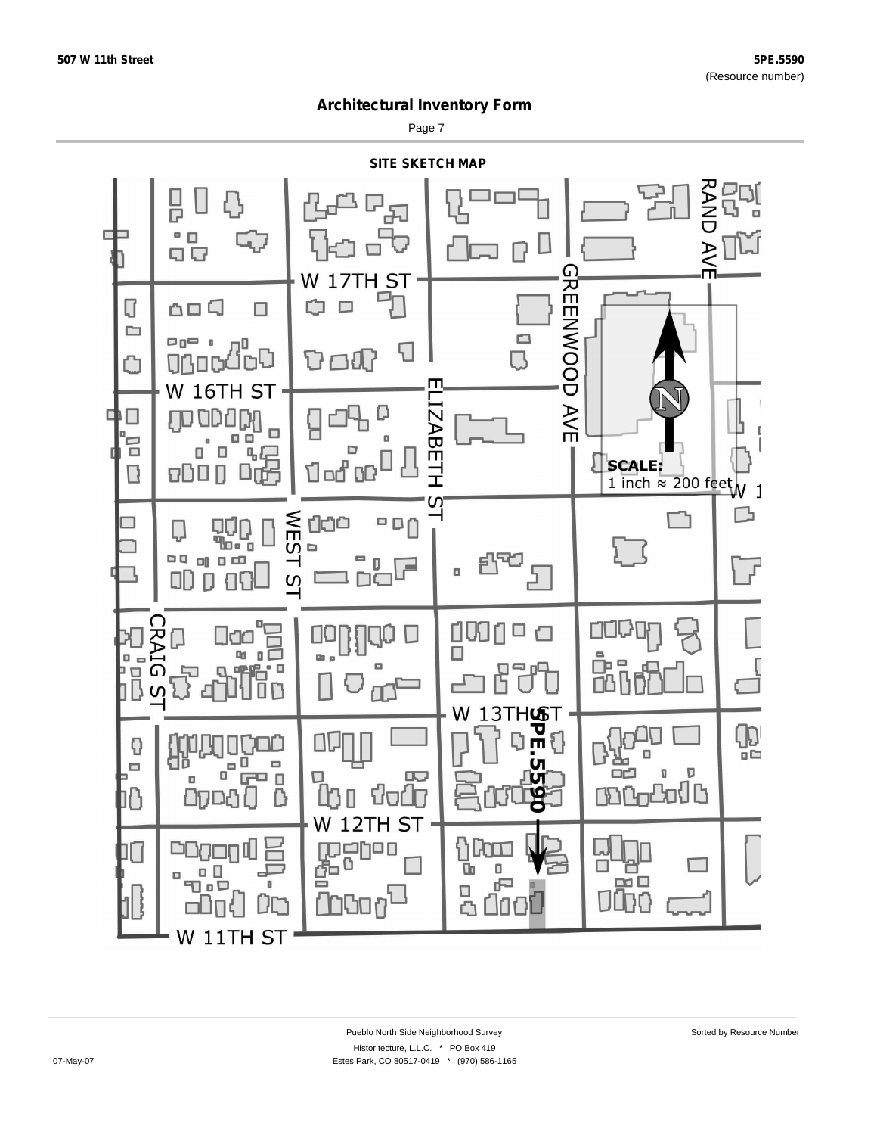Page 7